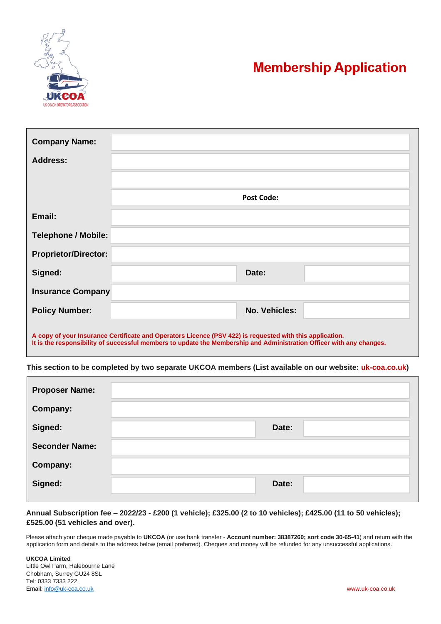

## **Membership Application**

| <b>Company Name:</b>                                                                                                                                                                                                             |                      |  |  |  |  |  |
|----------------------------------------------------------------------------------------------------------------------------------------------------------------------------------------------------------------------------------|----------------------|--|--|--|--|--|
| <b>Address:</b>                                                                                                                                                                                                                  |                      |  |  |  |  |  |
|                                                                                                                                                                                                                                  |                      |  |  |  |  |  |
|                                                                                                                                                                                                                                  | <b>Post Code:</b>    |  |  |  |  |  |
| Email:                                                                                                                                                                                                                           |                      |  |  |  |  |  |
| <b>Telephone / Mobile:</b>                                                                                                                                                                                                       |                      |  |  |  |  |  |
| <b>Proprietor/Director:</b>                                                                                                                                                                                                      |                      |  |  |  |  |  |
| Signed:                                                                                                                                                                                                                          | Date:                |  |  |  |  |  |
| <b>Insurance Company</b>                                                                                                                                                                                                         |                      |  |  |  |  |  |
| <b>Policy Number:</b>                                                                                                                                                                                                            | <b>No. Vehicles:</b> |  |  |  |  |  |
| A copy of your Insurance Certificate and Operators Licence (PSV 422) is requested with this application.<br>It is the responsibility of successful members to update the Membership and Administration Officer with any changes. |                      |  |  |  |  |  |

**This section to be completed by two separate UKCOA members (List available on our website: uk-coa.co.uk)**

| <b>Proposer Name:</b> |       |
|-----------------------|-------|
| Company:              |       |
| Signed:               | Date: |
| <b>Seconder Name:</b> |       |
| Company:              |       |
| Signed:               | Date: |

**Annual Subscription fee – 2022/23 - £200 (1 vehicle); £325.00 (2 to 10 vehicles); £425.00 (11 to 50 vehicles); £525.00 (51 vehicles and over).**

Please attach your cheque made payable to **UKCOA** (or use bank transfer - **Account number: 38387260; sort code 30-65-41**) and return with the application form and details to the address below (email preferred). Cheques and money will be refunded for any unsuccessful applications.

**UKCOA Limited** Little Owl Farm, Halebourne Lane Chobham, Surrey GU24 8SL Tel: 0333 7333 222 Email: [info@uk-coa.co.uk](mailto:info@uk-coa.co.uk) www.uk-coa.co.uk